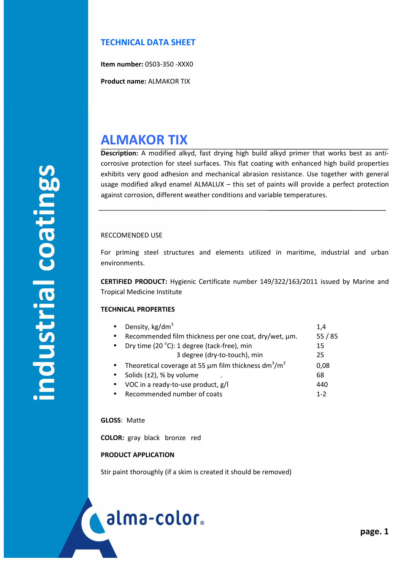### **TECHNICAL DATA SHEET**

**Item number:** 0503-350 -XXX0

**Product name:** ALMAKOR TIX

## **ALMAKOR TIX**

**Description:** A modified alkyd, fast drying high build alkyd primer that works best as anticorrosive protection for steel surfaces. This flat coating with enhanced high build properties exhibits very good adhesion and mechanical abrasion resistance. Use together with general usage modified alkyd enamel ALMALUX – this set of paints will provide a perfect protection against corrosion, different weather conditions and variable temperatures.

### RECCOMENDED USE

For priming steel structures and elements utilized in maritime, industrial and urban environments.

**CERTIFIED PRODUCT:** Hygienic Certificate number 149/322/163/2011 issued by Marine and Tropical Medicine Institute

### **TECHNICAL PROPERTIES**

Density, kg/dm<sup>3</sup> 1,4 Recommended film thickness per one coat, dry/wet, um. 55 / 85

| Dry time (20 °C): 1 degree (tack-free), min                                         | 15      |
|-------------------------------------------------------------------------------------|---------|
| 3 degree (dry-to-touch), min                                                        | 25      |
| • Theoretical coverage at 55 $\mu$ m film thickness dm <sup>3</sup> /m <sup>2</sup> | 0,08    |
| • Solids $(\pm 2)$ , % by volume                                                    | 68      |
| • VOC in a ready-to-use product, g/l                                                | 440     |
| Recommended number of coats                                                         | $1 - 2$ |

### **GLOSS**: Matte

í

**COLOR:** gray black bronze red

### **PRODUCT APPLICATION**

Stir paint thoroughly (if a skim is created it should be removed)

# alma-color.